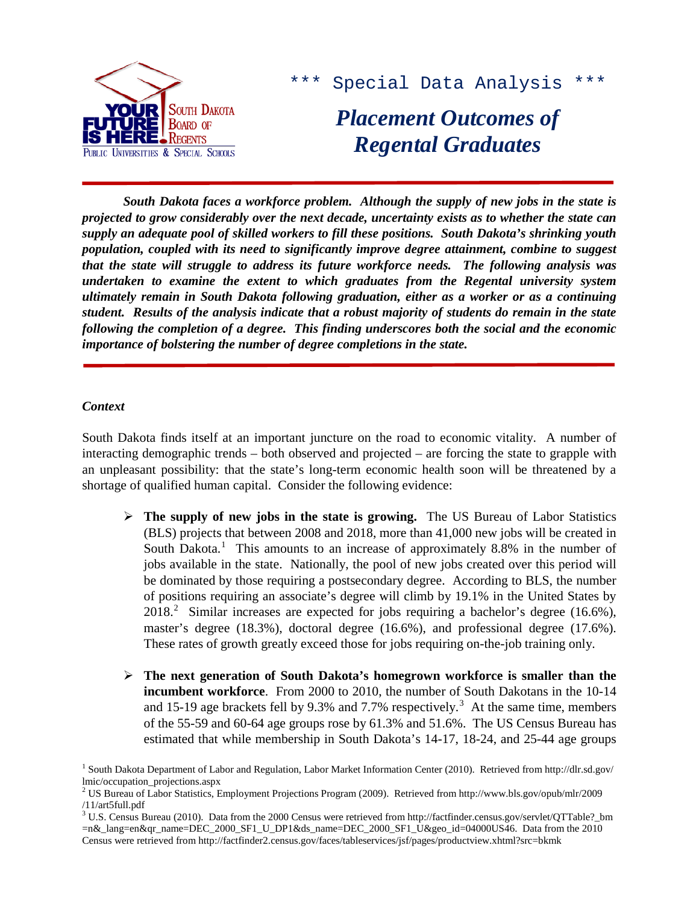

\*\*\* Special Data Analysis \*\*\*

# *Placement Outcomes of Regental Graduates*

*South Dakota faces a workforce problem. Although the supply of new jobs in the state is projected to grow considerably over the next decade, uncertainty exists as to whether the state can supply an adequate pool of skilled workers to fill these positions. South Dakota's shrinking youth population, coupled with its need to significantly improve degree attainment, combine to suggest that the state will struggle to address its future workforce needs. The following analysis was undertaken to examine the extent to which graduates from the Regental university system ultimately remain in South Dakota following graduation, either as a worker or as a continuing student. Results of the analysis indicate that a robust majority of students do remain in the state following the completion of a degree. This finding underscores both the social and the economic importance of bolstering the number of degree completions in the state.*

## *Context*

South Dakota finds itself at an important juncture on the road to economic vitality. A number of interacting demographic trends – both observed and projected – are forcing the state to grapple with an unpleasant possibility: that the state's long-term economic health soon will be threatened by a shortage of qualified human capital. Consider the following evidence:

- **The supply of new jobs in the state is growing.** The US Bureau of Labor Statistics (BLS) projects that between 2008 and 2018, more than 41,000 new jobs will be created in South Dakota.<sup>[1](#page-0-0)</sup> This amounts to an increase of approximately 8.8% in the number of jobs available in the state. Nationally, the pool of new jobs created over this period will be dominated by those requiring a postsecondary degree. According to BLS, the number of positions requiring an associate's degree will climb by 19.1% in the United States by [2](#page-0-1)018.<sup>2</sup> Similar increases are expected for jobs requiring a bachelor's degree (16.6%), master's degree (18.3%), doctoral degree (16.6%), and professional degree (17.6%). These rates of growth greatly exceed those for jobs requiring on-the-job training only.
- **The next generation of South Dakota's homegrown workforce is smaller than the incumbent workforce**. From 2000 to 2010, the number of South Dakotans in the 10-14 and 15-19 age brackets fell by 9.[3](#page-0-2)% and 7.7% respectively.<sup>3</sup> At the same time, members of the 55-59 and 60-64 age groups rose by 61.3% and 51.6%. The US Census Bureau has estimated that while membership in South Dakota's 14-17, 18-24, and 25-44 age groups

<span id="page-0-0"></span><sup>&</sup>lt;sup>1</sup> South Dakota Department of Labor and Regulation, Labor Market Information Center (2010). Retrieved from http://dlr.sd.gov/ lmic/occupation\_projections.aspx

<span id="page-0-1"></span><sup>2</sup> US Bureau of Labor Statistics, Employment Projections Program (2009). Retrieved from http://www.bls.gov/opub/mlr/2009 /11/art5full.pdf

<span id="page-0-2"></span><sup>&</sup>lt;sup>3</sup> U.S. Census Bureau (2010). Data from the 2000 Census were retrieved from http://factfinder.census.gov/servlet/QTTable?\_bm =n&\_lang=en&qr\_name=DEC\_2000\_SF1\_U\_DP1&ds\_name=DEC\_2000\_SF1\_U&geo\_id=04000US46. Data from the 2010 Census were retrieved from http://factfinder2.census.gov/faces/tableservices/jsf/pages/productview.xhtml?src=bkmk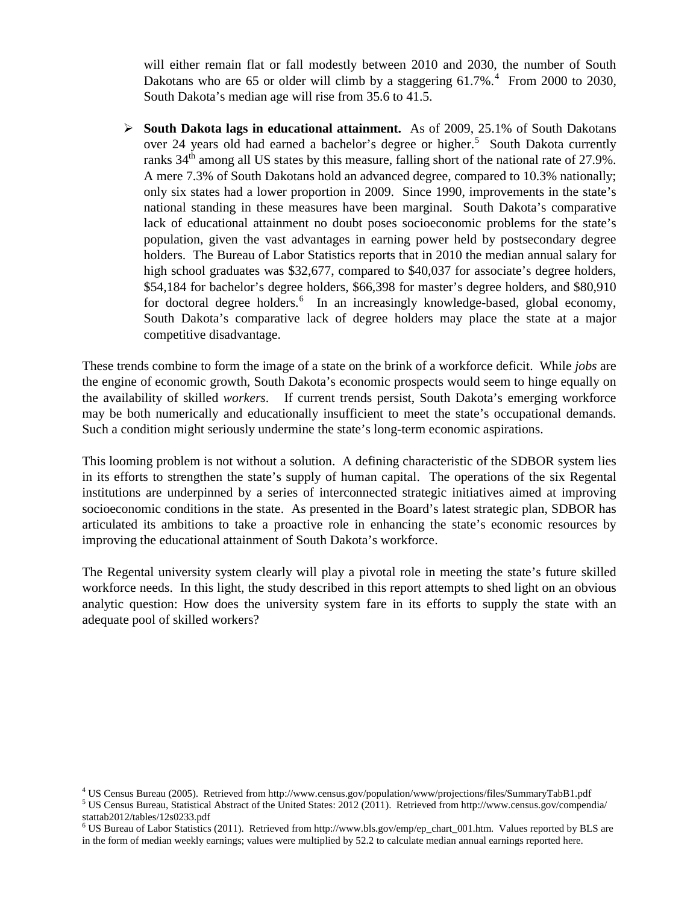will either remain flat or fall modestly between 2010 and 2030, the number of South Dakotans who are 65 or older will climb by a staggering  $61.7\%$ .<sup>[4](#page-1-0)</sup> From 2000 to 2030, South Dakota's median age will rise from 35.6 to 41.5.

 **South Dakota lags in educational attainment.** As of 2009, 25.1% of South Dakotans over 24 years old had earned a bachelor's degree or higher.<sup>[5](#page-1-1)</sup> South Dakota currently ranks 34<sup>th</sup> among all US states by this measure, falling short of the national rate of 27.9%. A mere 7.3% of South Dakotans hold an advanced degree, compared to 10.3% nationally; only six states had a lower proportion in 2009. Since 1990, improvements in the state's national standing in these measures have been marginal. South Dakota's comparative lack of educational attainment no doubt poses socioeconomic problems for the state's population, given the vast advantages in earning power held by postsecondary degree holders. The Bureau of Labor Statistics reports that in 2010 the median annual salary for high school graduates was \$32,677, compared to \$40,037 for associate's degree holders, \$54,184 for bachelor's degree holders, \$66,398 for master's degree holders, and \$80,910 for doctoral degree holders.<sup>[6](#page-1-2)</sup> In an increasingly knowledge-based, global economy, South Dakota's comparative lack of degree holders may place the state at a major competitive disadvantage.

These trends combine to form the image of a state on the brink of a workforce deficit. While *jobs* are the engine of economic growth, South Dakota's economic prospects would seem to hinge equally on the availability of skilled *workers*. If current trends persist, South Dakota's emerging workforce may be both numerically and educationally insufficient to meet the state's occupational demands. Such a condition might seriously undermine the state's long-term economic aspirations.

This looming problem is not without a solution. A defining characteristic of the SDBOR system lies in its efforts to strengthen the state's supply of human capital. The operations of the six Regental institutions are underpinned by a series of interconnected strategic initiatives aimed at improving socioeconomic conditions in the state. As presented in the Board's latest strategic plan, SDBOR has articulated its ambitions to take a proactive role in enhancing the state's economic resources by improving the educational attainment of South Dakota's workforce.

The Regental university system clearly will play a pivotal role in meeting the state's future skilled workforce needs. In this light, the study described in this report attempts to shed light on an obvious analytic question: How does the university system fare in its efforts to supply the state with an adequate pool of skilled workers?

<span id="page-1-1"></span><span id="page-1-0"></span><sup>&</sup>lt;sup>4</sup> US Census Bureau (2005). Retrieved from http://www.census.gov/population/www/projections/files/SummaryTabB1.pdf  $5$  US Census Bureau, Statistical Abstract of the United States: 2012 (2011). Retrieved from http://www.c stattab2012/tables/12s0233.pdf

<span id="page-1-2"></span><sup>6</sup> US Bureau of Labor Statistics (2011). Retrieved from http://www.bls.gov/emp/ep\_chart\_001.htm. Values reported by BLS are in the form of median weekly earnings; values were multiplied by 52.2 to calculate median annual earnings reported here.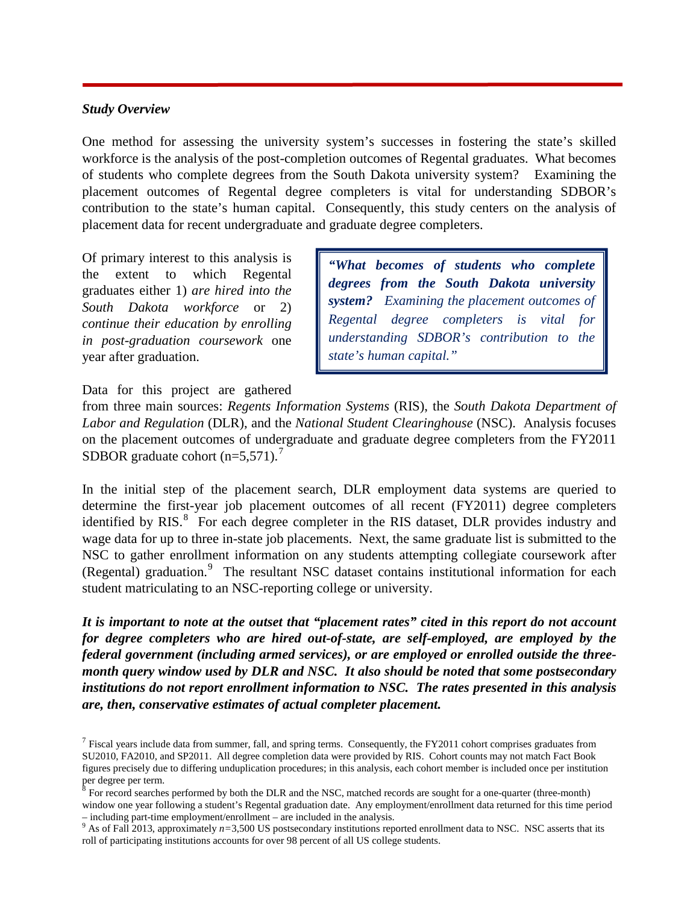## *Study Overview*

One method for assessing the university system's successes in fostering the state's skilled workforce is the analysis of the post-completion outcomes of Regental graduates. What becomes of students who complete degrees from the South Dakota university system? Examining the placement outcomes of Regental degree completers is vital for understanding SDBOR's contribution to the state's human capital. Consequently, this study centers on the analysis of placement data for recent undergraduate and graduate degree completers.

Of primary interest to this analysis is the extent to which Regental graduates either 1) *are hired into the South Dakota workforce* or 2) *continue their education by enrolling in post-graduation coursework* one year after graduation.

*"What becomes of students who complete degrees from the South Dakota university system? Examining the placement outcomes of Regental degree completers is vital for understanding SDBOR's contribution to the state's human capital."*

Data for this project are gathered

from three main sources: *Regents Information Systems* (RIS), the *South Dakota Department of Labor and Regulation* (DLR), and the *National Student Clearinghouse* (NSC). Analysis focuses on the placement outcomes of undergraduate and graduate degree completers from the FY2011 SDBOR graduate cohort  $(n=5,571)$  $(n=5,571)$  $(n=5,571)$ .<sup>7</sup>

In the initial step of the placement search, DLR employment data systems are queried to determine the first-year job placement outcomes of all recent (FY2011) degree completers identified by RIS.<sup>[8](#page-2-1)</sup> For each degree completer in the RIS dataset, DLR provides industry and wage data for up to three in-state job placements. Next, the same graduate list is submitted to the NSC to gather enrollment information on any students attempting collegiate coursework after (Regental) graduation.<sup>[9](#page-2-2)</sup> The resultant NSC dataset contains institutional information for each student matriculating to an NSC-reporting college or university.

*It is important to note at the outset that "placement rates" cited in this report do not account for degree completers who are hired out-of-state, are self-employed, are employed by the federal government (including armed services), or are employed or enrolled outside the threemonth query window used by DLR and NSC. It also should be noted that some postsecondary institutions do not report enrollment information to NSC. The rates presented in this analysis are, then, conservative estimates of actual completer placement.* 

<span id="page-2-0"></span> $<sup>7</sup>$  Fiscal years include data from summer, fall, and spring terms. Consequently, the FY2011 cohort comprises graduates from</sup> SU2010, FA2010, and SP2011. All degree completion data were provided by RIS. Cohort counts may not match Fact Book figures precisely due to differing unduplication procedures; in this analysis, each cohort member is included once per institution per degree per term.

<span id="page-2-1"></span> $8$  For record searches performed by both the DLR and the NSC, matched records are sought for a one-quarter (three-month) window one year following a student's Regental graduation date. Any employment/enrollment data returned for this time period – including part-time employment/enrollment – are included in the analysis.

<span id="page-2-2"></span> $9$  As of Fall 2013, approximately  $n=3,500$  US postsecondary institutions reported enrollment data to NSC. NSC asserts that its roll of participating institutions accounts for over 98 percent of all US college students.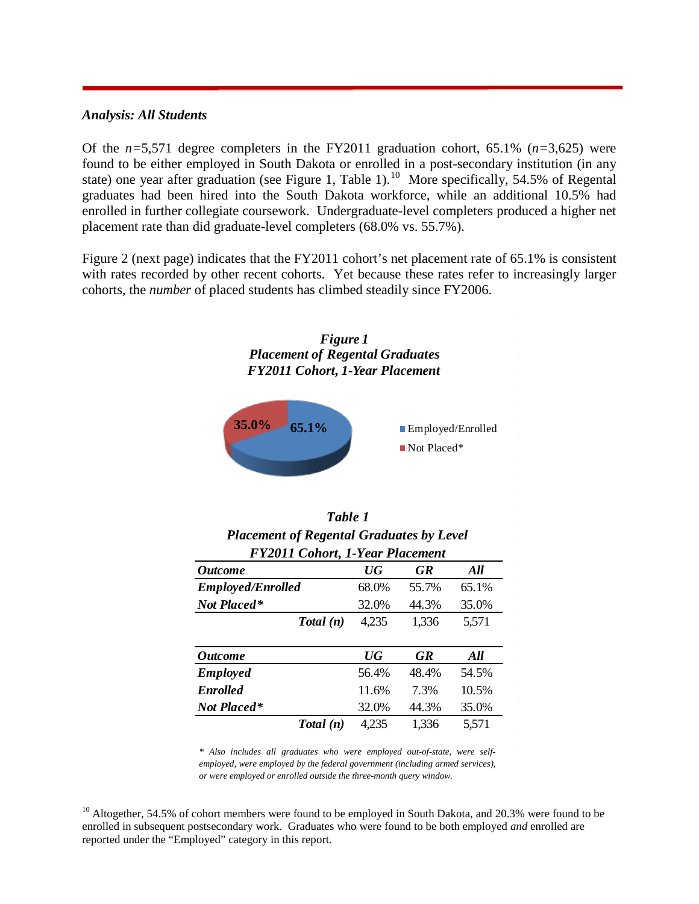# *Analysis: All Students*

Of the *n=*5,571 degree completers in the FY2011 graduation cohort, 65.1% (*n=*3,625) were found to be either employed in South Dakota or enrolled in a post-secondary institution (in any state) one year after graduation (see Figure 1, Table 1).<sup>10</sup> More specifically, 54.5% of Regental graduates had been hired into the South Dakota workforce, while an additional 10.5% had enrolled in further collegiate coursework. Undergraduate-level completers produced a higher net placement rate than did graduate-level completers (68.0% vs. 55.7%).

Figure 2 (next page) indicates that the FY2011 cohort's net placement rate of 65.1% is consistent with rates recorded by other recent cohorts. Yet because these rates refer to increasingly larger cohorts, the *number* of placed students has climbed steadily since FY2006.



| Table 1<br><b>Placement of Regental Graduates by Level</b><br><b>FY2011 Cohort, 1-Year Placement</b> |       |           |       |  |  |  |  |  |
|------------------------------------------------------------------------------------------------------|-------|-----------|-------|--|--|--|--|--|
| <b>Outcome</b>                                                                                       | UG    | <b>GR</b> | All   |  |  |  |  |  |
| <b>Employed/Enrolled</b>                                                                             | 68.0% | 55.7%     | 65.1% |  |  |  |  |  |
| Not Placed*                                                                                          | 32.0% | 44.3%     | 35.0% |  |  |  |  |  |
| Total(n)                                                                                             | 4,235 | 1,336     | 5,571 |  |  |  |  |  |

| <i><b>Outcome</b></i> |          | $\overline{UG}$ | <b>GR</b> | All   |
|-----------------------|----------|-----------------|-----------|-------|
| <b>Employed</b>       |          | 56.4%           | 48.4%     | 54.5% |
| <b>Enrolled</b>       |          | 11.6%           | 7 3%      | 10.5% |
| Not Placed*           |          | 32.0%           | 44.3%     | 35.0% |
|                       | Total(n) | 4.235           | 1,336     | 5,571 |

*\* Also includes all graduates who were employed out-of-state, were selfemployed, were employed by the federal government (including armed services), or were employed or enrolled outside the three-month query window.*

 $\bar{z}$ 

<span id="page-3-0"></span> $10$  Altogether, 54.5% of cohort members were found to be employed in South Dakota, and 20.3% were found to be enrolled in subsequent postsecondary work. Graduates who were found to be both employed *and* enrolled are reported under the "Employed" category in this report.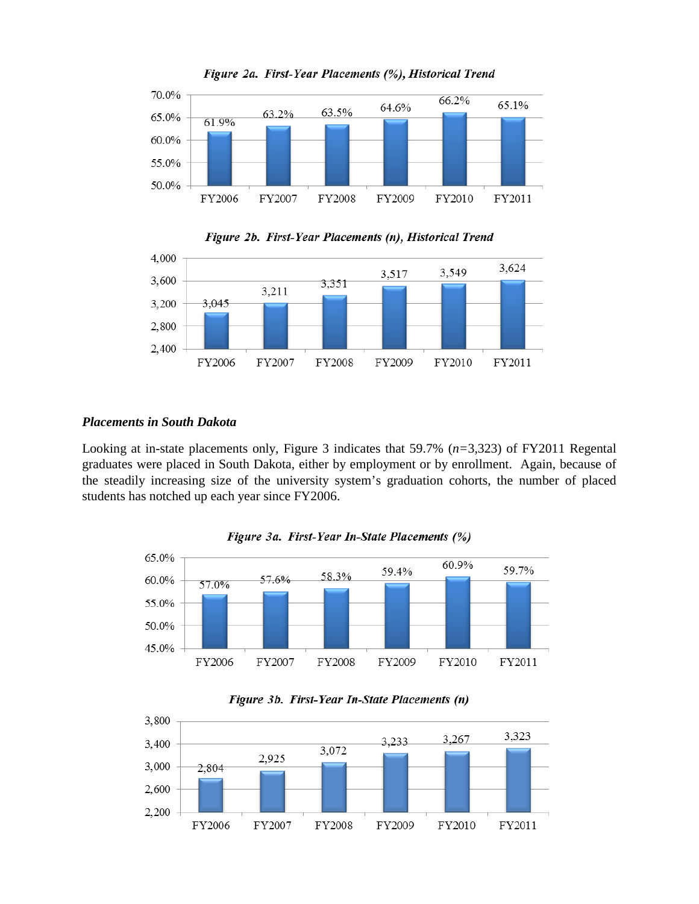







# *Placements in South Dakota*

Looking at in-state placements only, Figure 3 indicates that 59.7% (*n=*3,323) of FY2011 Regental graduates were placed in South Dakota, either by employment or by enrollment. Again, because of the steadily increasing size of the university system's graduation cohorts, the number of placed students has notched up each year since FY2006.







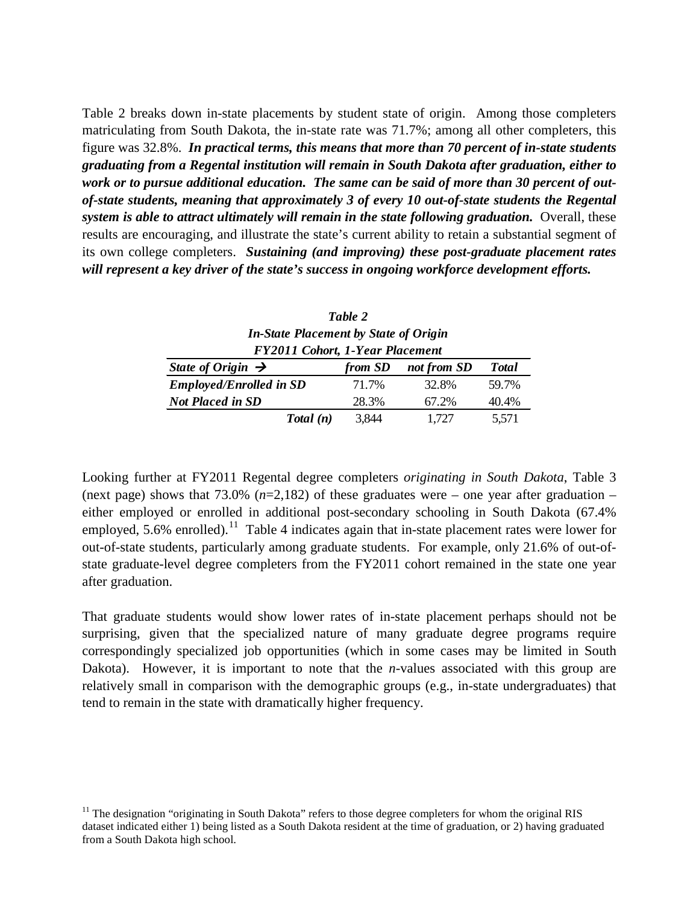Table 2 breaks down in-state placements by student state of origin. Among those completers matriculating from South Dakota, the in-state rate was 71.7%; among all other completers, this figure was 32.8%. *In practical terms, this means that more than 70 percent of in-state students graduating from a Regental institution will remain in South Dakota after graduation, either to work or to pursue additional education. The same can be said of more than 30 percent of outof-state students, meaning that approximately 3 of every 10 out-of-state students the Regental system is able to attract ultimately will remain in the state following graduation.* Overall, these results are encouraging, and illustrate the state's current ability to retain a substantial segment of its own college completers. *Sustaining (and improving) these post-graduate placement rates will represent a key driver of the state's success in ongoing workforce development efforts.* 

| Table 2                                      |
|----------------------------------------------|
| <b>In-State Placement by State of Origin</b> |
| <b>FY2011 Cohort, 1-Year Placement</b>       |

| State of Origin $\rightarrow$  | from SD | not from SD | <b>T</b> otal |  |  |  |  |  |
|--------------------------------|---------|-------------|---------------|--|--|--|--|--|
| <b>Employed/Enrolled in SD</b> | 71.7%   | 32.8%       | 59.7%         |  |  |  |  |  |
| <b>Not Placed in SD</b>        | 28.3%   | 67.2%       | 40.4%         |  |  |  |  |  |
| Total(n)                       | 3,844   | 1.727       | 5,571         |  |  |  |  |  |

Looking further at FY2011 Regental degree completers *originating in South Dakota*, Table 3 (next page) shows that 73.0% (*n*=2,182) of these graduates were – one year after graduation – either employed or enrolled in additional post-secondary schooling in South Dakota (67.4% employed, 5.6% enrolled).<sup>11</sup> Table 4 indicates again that in-state placement rates were lower for out-of-state students, particularly among graduate students. For example, only 21.6% of out-ofstate graduate-level degree completers from the FY2011 cohort remained in the state one year after graduation.

That graduate students would show lower rates of in-state placement perhaps should not be surprising, given that the specialized nature of many graduate degree programs require correspondingly specialized job opportunities (which in some cases may be limited in South Dakota). However, it is important to note that the *n*-values associated with this group are relatively small in comparison with the demographic groups (e.g., in-state undergraduates) that tend to remain in the state with dramatically higher frequency.

<span id="page-5-0"></span><sup>&</sup>lt;sup>11</sup> The designation "originating in South Dakota" refers to those degree completers for whom the original RIS dataset indicated either 1) being listed as a South Dakota resident at the time of graduation, or 2) having graduated from a South Dakota high school.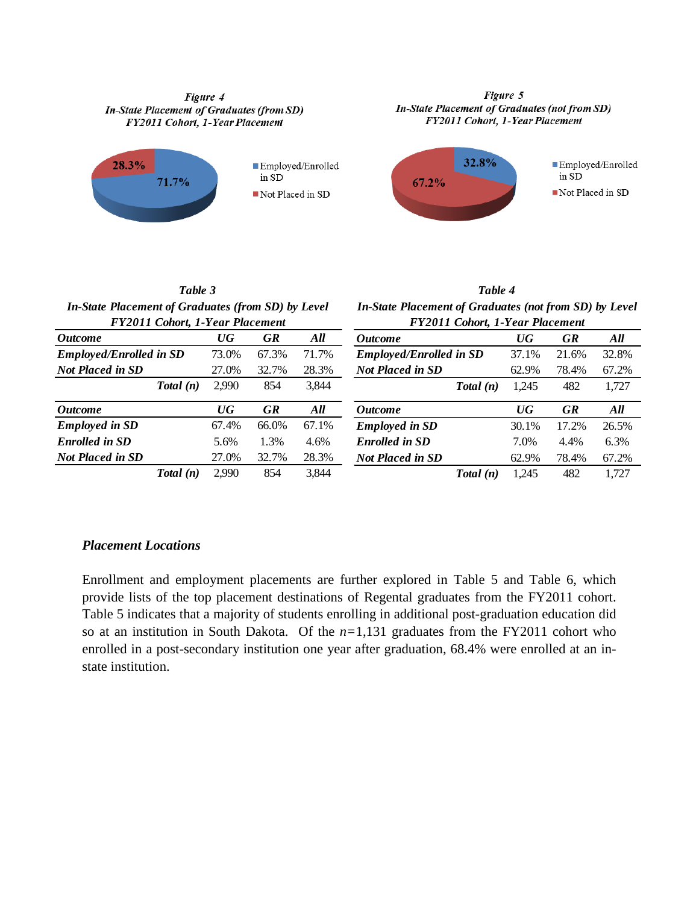#### Figure 4 **In-State Placement of Graduates (from SD)** FY2011 Cohort, 1-Year Placement



#### Figure 5 In-State Placement of Graduates (not from SD) FY2011 Cohort, 1-Year Placement



*Table 3 In-State Placement of Graduates (from SD) by Level FY2011 Cohort, 1-Year Placement*

*FY2011 Cohort, 1-Year Placement In-State Placement of Graduates (not from SD) by Level*

*Table 4*

|          |                                 |           |       | r 1 2011 Conort, 1-1 ear Placement |                                   |                      |       |  |  |
|----------|---------------------------------|-----------|-------|------------------------------------|-----------------------------------|----------------------|-------|--|--|
|          | $\boldsymbol{U} \boldsymbol{G}$ | <b>GR</b> | All   | <i><b>Outcome</b></i>              | $\overline{U}G$                   | <b>GR</b>            | All   |  |  |
|          | 73.0%                           | 67.3%     | 71.7% | <b>Employed/Enrolled in SD</b>     | 37.1%                             | 21.6%                | 32.8% |  |  |
|          | 27.0%                           | 32.7%     | 28.3% | <b>Not Placed in SD</b>            | 62.9%                             | 78.4%                | 67.2% |  |  |
| Total(n) | 2.990                           | 854       | 3,844 |                                    | 1,245                             | 482                  | 1,727 |  |  |
|          | $\boldsymbol{U} \boldsymbol{G}$ | <b>GR</b> | All   | <i><b>Outcome</b></i>              | $\overline{U}G$                   | <b>GR</b>            | All   |  |  |
|          | 67.4%                           | 66.0%     | 67.1% | <b>Employed in SD</b>              | 30.1%                             | 17.2%                | 26.5% |  |  |
|          | 5.6%                            | 1.3%      | 4.6%  | <b>Enrolled in SD</b>              | 7.0%                              | 4.4%                 | 6.3%  |  |  |
|          | 27.0%                           | 32.7%     | 28.3% | <b>Not Placed in SD</b>            | 62.9%                             | 78.4%                | 67.2% |  |  |
| Total(n) | 2.990                           | 854       | 3,844 |                                    | 1,245                             | 482                  | 1,727 |  |  |
|          | <b>Employed/Enrolled in SD</b>  |           |       |                                    | r 12011 Conort, 1-1 ear Flacement | Total(n)<br>Total(n) |       |  |  |

## *Placement Locations*

Enrollment and employment placements are further explored in Table 5 and Table 6, which provide lists of the top placement destinations of Regental graduates from the FY2011 cohort. Table 5 indicates that a majority of students enrolling in additional post-graduation education did so at an institution in South Dakota. Of the *n=*1,131 graduates from the FY2011 cohort who enrolled in a post-secondary institution one year after graduation, 68.4% were enrolled at an instate institution.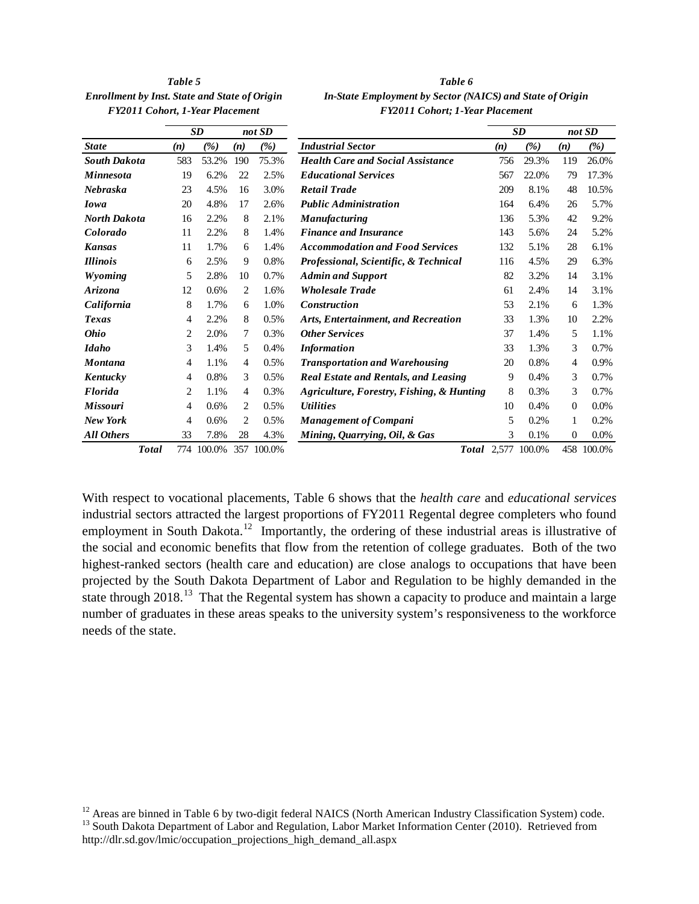*Enrollment by Inst. State and State of Origin In-State In-State and State of Origin FY2011 Cohort, 1-Year Placement FY2011 Cohort; 1-Year Placement*

| Table 5                     | Table 6                                                   |
|-----------------------------|-----------------------------------------------------------|
| . State and State of Origin | In-State Employment by Sector (NAICS) and State of Origin |
| rt, 1-Year Placement        | <b>FY2011 Cohort</b> ; 1-Year Placement                   |

|                     |              |     | SD         |     | not SD |                                             |     | SD     |          | not SD  |
|---------------------|--------------|-----|------------|-----|--------|---------------------------------------------|-----|--------|----------|---------|
| <b>State</b>        |              | (n) | (%)        | (n) | (%)    | <b>Industrial Sector</b>                    | (n) | (%)    | (n)      | (%)     |
| <b>South Dakota</b> |              | 583 | 53.2%      | 190 | 75.3%  | <b>Health Care and Social Assistance</b>    | 756 | 29.3%  | 119      | 26.0%   |
| <b>Minnesota</b>    |              | 19  | 6.2%       | 22  | 2.5%   | <b>Educational Services</b>                 | 567 | 22.0%  | 79       | 17.3%   |
| Nebraska            |              | 23  | 4.5%       | 16  | 3.0%   | <b>Retail Trade</b>                         | 209 | 8.1%   | 48       | 10.5%   |
| <b>Iowa</b>         |              | 20  | 4.8%       | 17  | 2.6%   | <b>Public Administration</b>                | 164 | 6.4%   | 26       | 5.7%    |
| <b>North Dakota</b> |              | 16  | 2.2%       | 8   | 2.1%   | <b>Manufacturing</b>                        | 136 | 5.3%   | 42       | 9.2%    |
| Colorado            |              | 11  | 2.2%       | 8   | 1.4%   | <b>Finance and Insurance</b>                | 143 | 5.6%   | 24       | 5.2%    |
| <b>Kansas</b>       |              | 11  | 1.7%       | 6   | 1.4%   | <b>Accommodation and Food Services</b>      | 132 | 5.1%   | 28       | 6.1%    |
| <b>Illinois</b>     |              | 6   | 2.5%       | 9   | 0.8%   | Professional, Scientific, & Technical       | 116 | 4.5%   | 29       | 6.3%    |
| Wyoming             |              | 5   | 2.8%       | 10  | 0.7%   | <b>Admin and Support</b>                    | 82  | 3.2%   | 14       | 3.1%    |
| Arizona             |              | 12  | 0.6%       | 2   | 1.6%   | <b>Wholesale Trade</b>                      | 61  | 2.4%   | 14       | 3.1%    |
| California          |              | 8   | 1.7%       | 6   | 1.0%   | <b>Construction</b>                         | 53  | 2.1%   | 6        | 1.3%    |
| Texas               |              | 4   | 2.2%       | 8   | 0.5%   | Arts, Entertainment, and Recreation         | 33  | 1.3%   | 10       | 2.2%    |
| <b>Ohio</b>         |              | 2   | 2.0%       | 7   | 0.3%   | <b>Other Services</b>                       | 37  | 1.4%   | 5        | 1.1%    |
| <b>Idaho</b>        |              | 3   | 1.4%       | 5   | 0.4%   | <b>Information</b>                          | 33  | 1.3%   | 3        | 0.7%    |
| <b>Montana</b>      |              | 4   | 1.1%       | 4   | 0.5%   | <b>Transportation and Warehousing</b>       | 20  | 0.8%   | 4        | 0.9%    |
| Kentucky            |              | 4   | 0.8%       | 3   | 0.5%   | <b>Real Estate and Rentals, and Leasing</b> | 9   | 0.4%   | 3        | 0.7%    |
| <b>Florida</b>      |              | 2   | 1.1%       | 4   | 0.3%   | Agriculture, Forestry, Fishing, & Hunting   | 8   | 0.3%   | 3        | 0.7%    |
| <b>Missouri</b>     |              | 4   | 0.6%       | 2   | 0.5%   | <i><b>Utilities</b></i>                     | 10  | 0.4%   | $\theta$ | $0.0\%$ |
| <b>New York</b>     |              | 4   | 0.6%       | 2   | 0.5%   | <b>Management of Compani</b>                | 5   | 0.2%   | 1        | 0.2%    |
| <b>All Others</b>   |              | 33  | 7.8%       | 28  | 4.3%   | Mining, Quarrying, Oil, & Gas               | 3   | 0.1%   | $\Omega$ | $0.0\%$ |
|                     | <b>Total</b> |     | 774 100.0% | 357 | 100.0% | <b>Total</b> 2,577                          |     | 100.0% | 458      | 100.0%  |

With respect to vocational placements, Table 6 shows that the *health care* and *educational services* industrial sectors attracted the largest proportions of FY2011 Regental degree completers who found employment in South Dakota.<sup>[12](#page-7-0)</sup> Importantly, the ordering of these industrial areas is illustrative of the social and economic benefits that flow from the retention of college graduates. Both of the two highest-ranked sectors (health care and education) are close analogs to occupations that have been projected by the South Dakota Department of Labor and Regulation to be highly demanded in the state through  $2018<sup>13</sup>$ . That the Regental system has shown a capacity to produce and maintain a large number of graduates in these areas speaks to the university system's responsiveness to the workforce needs of the state.

<span id="page-7-1"></span><span id="page-7-0"></span><sup>&</sup>lt;sup>12</sup> Areas are binned in Table 6 by two-digit federal NAICS (North American Industry Classification System) code. <sup>13</sup> South Dakota Department of Labor and Regulation, Labor Market Information Center (2010). Retrieved fro http://dlr.sd.gov/lmic/occupation\_projections\_high\_demand\_all.aspx